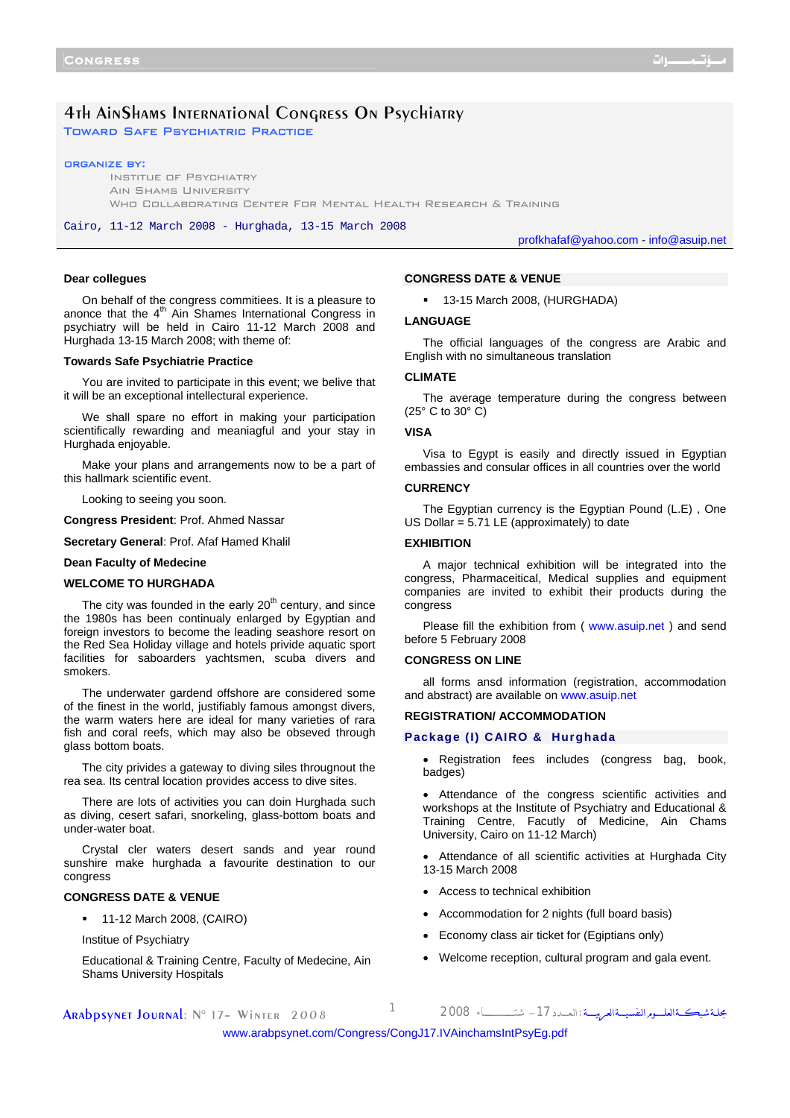# 4th AinShams International Congress On Psychiatry Toward Safe Psychiatric Practice

#### organize by:

Institue of Psychiatry Ain Shams University WHO COLLABORATING CENTER FOR MENTAL HEALTH RESEARCH & TRAINING

Cairo, 11-12 March 2008 - Hurghada, 13-15 March 2008

profkhafaf@yahoo.com - info@asuip.net

#### **Dear collegues**

On behalf of the congress commitiees. It is a pleasure to anonce that the  $4<sup>th</sup>$  Ain Shames International Congress in psychiatry will be held in Cairo 11-12 March 2008 and Hurghada 13-15 March 2008; with theme of:

## **Towards Safe Psychiatrie Practice**

You are invited to participate in this event; we belive that it will be an exceptional intellectural experience.

We shall spare no effort in making your participation scientifically rewarding and meaniagful and your stay in Hurghada enjoyable.

Make your plans and arrangements now to be a part of this hallmark scientific event.

Looking to seeing you soon.

**Congress President**: Prof. Ahmed Nassar

**Secretary General**: Prof. Afaf Hamed Khalil

# **Dean Faculty of Medecine**

#### **WELCOME TO HURGHADA**

The city was founded in the early  $20<sup>th</sup>$  century, and since the 1980s has been continualy enlarged by Egyptian and foreign investors to become the leading seashore resort on the Red Sea Holiday village and hotels privide aquatic sport facilities for saboarders yachtsmen, scuba divers and smokers.

The underwater gardend offshore are considered some of the finest in the world, justifiably famous amongst divers, the warm waters here are ideal for many varieties of rara fish and coral reefs, which may also be obseved through glass bottom boats.

The city privides a gateway to diving siles througnout the rea sea. Its central location provides access to dive sites.

There are lots of activities you can doin Hurghada such as diving, cesert safari, snorkeling, glass-bottom boats and under-water boat.

Crystal cler waters desert sands and year round sunshire make hurghada a favourite destination to our congress

## **CONGRESS DATE & VENUE**

**11-12 March 2008, (CAIRO)** 

Institue of Psychiatry

Educational & Training Centre, Faculty of Medecine, Ain Shams University Hospitals

#### **CONGRESS DATE & VENUE**

<sup>1</sup> 13-15 March 2008, (HURGHADA)

#### **LANGUAGE**

The official languages of the congress are Arabic and English with no simultaneous translation

## **CLIMATE**

The average temperature during the congress between (25° C to 30° C)

#### **VISA**

Visa to Egypt is easily and directly issued in Egyptian embassies and consular offices in all countries over the world

## **CURRENCY**

The Egyptian currency is the Egyptian Pound (L.E) , One US Dollar = 5.71 LE (approximately) to date

#### **EXHIBITION**

A major technical exhibition will be integrated into the congress, Pharmaceitical, Medical supplies and equipment companies are invited to exhibit their products during the congress

Please fill the exhibition from ( <www.asuip.net>) and send before 5 February 2008

## **CONGRESS ON LINE**

all forms ansd information (registration, accommodation and abstract) are available on<www.asuip.net>

## **REGISTRATION/ ACCOMMODATION**

### **Package (I) CAIRO & Hurghada**

Registration fees includes (congress bag, book, badges)

• Attendance of the congress scientific activities and workshops at the Institute of Psychiatry and Educational & Training Centre, Facutly of Medicine, Ain Chams University, Cairo on 11-12 March)

- Attendance of all scientific activities at Hurghada City 13-15 March 2008
- Access to technical exhibition
- Accommodation for 2 nights (full board basis)
- Economy class air ticket for (Egiptians only)
- Welcome reception, cultural program and gala event.

Arabpsynet Journal: N° 17– Winter 2008 <sup>1</sup> <sup>2008</sup> شتــــــــــــــــــــاء -17الـعــــدد: مجلــةشبكـــةالعلــــــومالنفسيــــةالعربيـــــة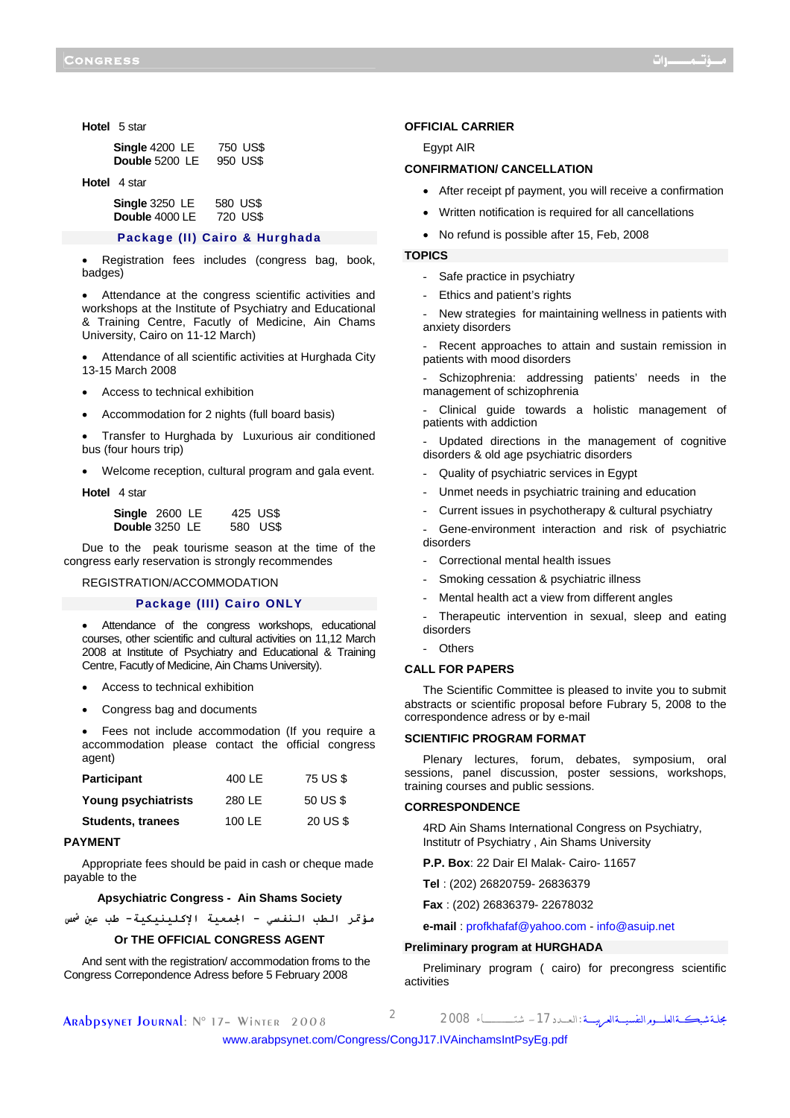**Hotel** 5 star

| Single 4200 LE | 750 US\$ |
|----------------|----------|
| Double 5200 LE | 950 US\$ |

**Hotel** 4 star

| Single 3250 LE | 580 US\$ |
|----------------|----------|
| Double 4000 LE | 720 US\$ |

## **Package (II) Cairo & Hurghada**

Registration fees includes (congress bag, book, badges)

• Attendance at the congress scientific activities and workshops at the Institute of Psychiatry and Educational & Training Centre, Facutly of Medicine, Ain Chams University, Cairo on 11-12 March)

• Attendance of all scientific activities at Hurghada City 13-15 March 2008

- Access to technical exhibition
- Accommodation for 2 nights (full board basis)

• Transfer to Hurghada by Luxurious air conditioned bus (four hours trip)

• Welcome reception, cultural program and gala event.

**Hotel** 4 star

| Single 2600 LE |  | 425 US\$ |
|----------------|--|----------|
| Double 3250 LE |  | 580 US\$ |

Due to the peak tourisme season at the time of the congress early reservation is strongly recommendes

REGISTRATION/ACCOMMODATION

#### **Package (III) Cairo ONLY**

Attendance of the congress workshops, educational courses, other scientific and cultural activities on 11,12 March 2008 at Institute of Psychiatry and Educational & Training Centre, Facutly of Medicine, Ain Chams University).

- Access to technical exhibition
- Congress bag and documents

• Fees not include accommodation (If you require a accommodation please contact the official congress agent)

| <b>Participant</b>       | 400 LE | 75 US \$ |
|--------------------------|--------|----------|
| Young psychiatrists      | 280 LE | 50 US \$ |
| <b>Students, tranees</b> | 100 LE | 20 US \$ |

#### **PAYMENT**

Appropriate fees should be paid in cash or cheque made payable to the

#### **Apsychiatric Congress - Ain Shams Society**

**مؤتمر الطب النفسي - الجمعية الإآلينيكية- طب عين شمس**

# **Or THE OFFICIAL CONGRESS AGENT**

And sent with the registration/ accommodation froms to the Congress Correpondence Adress before 5 February 2008

#### **OFFICIAL CARRIER**

Egypt AIR

# **CONFIRMATION/ CANCELLATION**

- After receipt pf payment, you will receive a confirmation
- Written notification is required for all cancellations
- No refund is possible after 15, Feb, 2008

## **TOPICS**

- Safe practice in psychiatry
- Ethics and patient's rights

New strategies for maintaining wellness in patients with anxiety disorders

Recent approaches to attain and sustain remission in patients with mood disorders

Schizophrenia: addressing patients' needs in the management of schizophrenia

Clinical guide towards a holistic management of patients with addiction

Updated directions in the management of cognitive disorders & old age psychiatric disorders

- Quality of psychiatric services in Egypt
- Unmet needs in psychiatric training and education
- Current issues in psychotherapy & cultural psychiatry

Gene-environment interaction and risk of psychiatric disorders

- Correctional mental health issues
- Smoking cessation & psychiatric illness
- Mental health act a view from different angles
- Therapeutic intervention in sexual, sleep and eating disorders
- Others

### **CALL FOR PAPERS**

The Scientific Committee is pleased to invite you to submit abstracts or scientific proposal before Fubrary 5, 2008 to the correspondence adress or by e-mail

#### **SCIENTIFIC PROGRAM FORMAT**

Plenary lectures, forum, debates, symposium, oral sessions, panel discussion, poster sessions, workshops, training courses and public sessions.

#### **CORRESPONDENCE**

4RD Ain Shams International Congress on Psychiatry, Institutr of Psychiatry , Ain Shams University

**P.P. Box**: 22 Dair El Malak- Cairo- 11657

**Tel** : (202) 26820759- 26836379

**Fax** : (202) 26836379- 22678032

**e-mail** : profkhafaf@yahoo.com - info@asuip.net

## **Preliminary program at HURGHADA**

Preliminary program ( cairo) for precongress scientific activities

Arabpsynet Journal: N° 17– Winter 2008 <sup>2</sup> <sup>2008</sup> شتــــــــــــــــــــاء -17الـعــــدد: مجلــةشبكـــةالعلــــــومالنفسيــــةالعربيـــــة